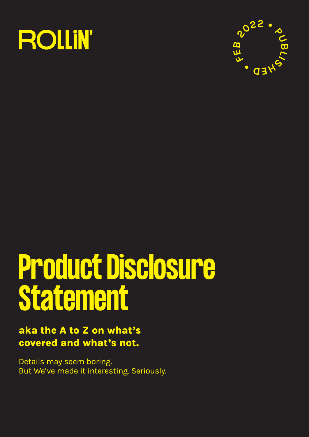



# Product Disclosure Statement

# **aka the A to Z on what's covered and what's not.**

Details may seem boring. But We've made it interesting. Seriously.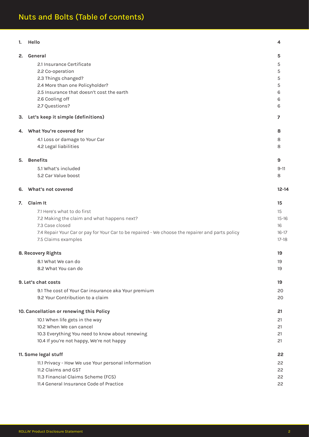| General<br>2.<br>5<br>2.1 Insurance Certificate<br>5<br>2.2 Co-operation<br>5<br>2.3 Things changed?<br>5<br>2.4 More than one Policyholder?<br>5<br>2.5 Insurance that doesn't cost the earth<br>6<br>2.6 Cooling off<br>6<br>2.7 Questions?<br>6<br>Let's keep it simple (definitions)<br>7<br>З.<br>What You're covered for<br>8<br>4.<br>4.1 Loss or damage to Your Car<br>8<br>4.2 Legal liabilities<br>8<br><b>Benefits</b><br>9<br>5.<br>5.1 What's included<br>$9 - 11$<br>5.2 Car Value boost<br>8<br>What's not covered<br>$12 - 14$<br>6.<br><b>Claim It</b><br>15<br>7.<br>7.1 Here's what to do first<br>15<br>7.2 Making the claim and what happens next?<br>$15 - 16$<br>7.3 Case closed<br>16<br>7.4 Repair Your Car or pay for Your Car to be repaired - We choose the repairer and parts policy<br>$16-17$<br>7.5 Claims examples<br>$17-18$<br>8. Recovery Rights<br>19<br>8.1 What We can do<br>19<br>8.2 What You can do<br>19<br>9. Let's chat costs<br>19<br>9.1 The cost of Your Car insurance aka Your premium<br>20<br>9.2 Your Contribution to a claim<br>20<br>10. Cancellation or renewing this Policy<br>21<br>10.1 When life gets in the way<br>21<br>10.2 When We can cancel<br>21<br>10.3 Everything You need to know about renewing<br>21<br>10.4 If you're not happy, We're not happy<br>21<br>11. Some legal stuff<br>22<br>11.1 Privacy - How We use Your personal information<br>22<br>11.2 Claims and GST<br>22<br>11.3 Financial Claims Scheme (FCS)<br>22<br>22 | 1. | Hello                                   | 4 |
|----------------------------------------------------------------------------------------------------------------------------------------------------------------------------------------------------------------------------------------------------------------------------------------------------------------------------------------------------------------------------------------------------------------------------------------------------------------------------------------------------------------------------------------------------------------------------------------------------------------------------------------------------------------------------------------------------------------------------------------------------------------------------------------------------------------------------------------------------------------------------------------------------------------------------------------------------------------------------------------------------------------------------------------------------------------------------------------------------------------------------------------------------------------------------------------------------------------------------------------------------------------------------------------------------------------------------------------------------------------------------------------------------------------------------------------------------------------------------------------------------------|----|-----------------------------------------|---|
|                                                                                                                                                                                                                                                                                                                                                                                                                                                                                                                                                                                                                                                                                                                                                                                                                                                                                                                                                                                                                                                                                                                                                                                                                                                                                                                                                                                                                                                                                                          |    |                                         |   |
|                                                                                                                                                                                                                                                                                                                                                                                                                                                                                                                                                                                                                                                                                                                                                                                                                                                                                                                                                                                                                                                                                                                                                                                                                                                                                                                                                                                                                                                                                                          |    |                                         |   |
|                                                                                                                                                                                                                                                                                                                                                                                                                                                                                                                                                                                                                                                                                                                                                                                                                                                                                                                                                                                                                                                                                                                                                                                                                                                                                                                                                                                                                                                                                                          |    |                                         |   |
|                                                                                                                                                                                                                                                                                                                                                                                                                                                                                                                                                                                                                                                                                                                                                                                                                                                                                                                                                                                                                                                                                                                                                                                                                                                                                                                                                                                                                                                                                                          |    |                                         |   |
|                                                                                                                                                                                                                                                                                                                                                                                                                                                                                                                                                                                                                                                                                                                                                                                                                                                                                                                                                                                                                                                                                                                                                                                                                                                                                                                                                                                                                                                                                                          |    |                                         |   |
|                                                                                                                                                                                                                                                                                                                                                                                                                                                                                                                                                                                                                                                                                                                                                                                                                                                                                                                                                                                                                                                                                                                                                                                                                                                                                                                                                                                                                                                                                                          |    |                                         |   |
|                                                                                                                                                                                                                                                                                                                                                                                                                                                                                                                                                                                                                                                                                                                                                                                                                                                                                                                                                                                                                                                                                                                                                                                                                                                                                                                                                                                                                                                                                                          |    |                                         |   |
|                                                                                                                                                                                                                                                                                                                                                                                                                                                                                                                                                                                                                                                                                                                                                                                                                                                                                                                                                                                                                                                                                                                                                                                                                                                                                                                                                                                                                                                                                                          |    |                                         |   |
|                                                                                                                                                                                                                                                                                                                                                                                                                                                                                                                                                                                                                                                                                                                                                                                                                                                                                                                                                                                                                                                                                                                                                                                                                                                                                                                                                                                                                                                                                                          |    |                                         |   |
|                                                                                                                                                                                                                                                                                                                                                                                                                                                                                                                                                                                                                                                                                                                                                                                                                                                                                                                                                                                                                                                                                                                                                                                                                                                                                                                                                                                                                                                                                                          |    |                                         |   |
|                                                                                                                                                                                                                                                                                                                                                                                                                                                                                                                                                                                                                                                                                                                                                                                                                                                                                                                                                                                                                                                                                                                                                                                                                                                                                                                                                                                                                                                                                                          |    |                                         |   |
|                                                                                                                                                                                                                                                                                                                                                                                                                                                                                                                                                                                                                                                                                                                                                                                                                                                                                                                                                                                                                                                                                                                                                                                                                                                                                                                                                                                                                                                                                                          |    |                                         |   |
|                                                                                                                                                                                                                                                                                                                                                                                                                                                                                                                                                                                                                                                                                                                                                                                                                                                                                                                                                                                                                                                                                                                                                                                                                                                                                                                                                                                                                                                                                                          |    |                                         |   |
|                                                                                                                                                                                                                                                                                                                                                                                                                                                                                                                                                                                                                                                                                                                                                                                                                                                                                                                                                                                                                                                                                                                                                                                                                                                                                                                                                                                                                                                                                                          |    |                                         |   |
|                                                                                                                                                                                                                                                                                                                                                                                                                                                                                                                                                                                                                                                                                                                                                                                                                                                                                                                                                                                                                                                                                                                                                                                                                                                                                                                                                                                                                                                                                                          |    |                                         |   |
|                                                                                                                                                                                                                                                                                                                                                                                                                                                                                                                                                                                                                                                                                                                                                                                                                                                                                                                                                                                                                                                                                                                                                                                                                                                                                                                                                                                                                                                                                                          |    |                                         |   |
|                                                                                                                                                                                                                                                                                                                                                                                                                                                                                                                                                                                                                                                                                                                                                                                                                                                                                                                                                                                                                                                                                                                                                                                                                                                                                                                                                                                                                                                                                                          |    |                                         |   |
|                                                                                                                                                                                                                                                                                                                                                                                                                                                                                                                                                                                                                                                                                                                                                                                                                                                                                                                                                                                                                                                                                                                                                                                                                                                                                                                                                                                                                                                                                                          |    |                                         |   |
|                                                                                                                                                                                                                                                                                                                                                                                                                                                                                                                                                                                                                                                                                                                                                                                                                                                                                                                                                                                                                                                                                                                                                                                                                                                                                                                                                                                                                                                                                                          |    |                                         |   |
|                                                                                                                                                                                                                                                                                                                                                                                                                                                                                                                                                                                                                                                                                                                                                                                                                                                                                                                                                                                                                                                                                                                                                                                                                                                                                                                                                                                                                                                                                                          |    |                                         |   |
|                                                                                                                                                                                                                                                                                                                                                                                                                                                                                                                                                                                                                                                                                                                                                                                                                                                                                                                                                                                                                                                                                                                                                                                                                                                                                                                                                                                                                                                                                                          |    |                                         |   |
|                                                                                                                                                                                                                                                                                                                                                                                                                                                                                                                                                                                                                                                                                                                                                                                                                                                                                                                                                                                                                                                                                                                                                                                                                                                                                                                                                                                                                                                                                                          |    |                                         |   |
|                                                                                                                                                                                                                                                                                                                                                                                                                                                                                                                                                                                                                                                                                                                                                                                                                                                                                                                                                                                                                                                                                                                                                                                                                                                                                                                                                                                                                                                                                                          |    |                                         |   |
|                                                                                                                                                                                                                                                                                                                                                                                                                                                                                                                                                                                                                                                                                                                                                                                                                                                                                                                                                                                                                                                                                                                                                                                                                                                                                                                                                                                                                                                                                                          |    |                                         |   |
|                                                                                                                                                                                                                                                                                                                                                                                                                                                                                                                                                                                                                                                                                                                                                                                                                                                                                                                                                                                                                                                                                                                                                                                                                                                                                                                                                                                                                                                                                                          |    |                                         |   |
|                                                                                                                                                                                                                                                                                                                                                                                                                                                                                                                                                                                                                                                                                                                                                                                                                                                                                                                                                                                                                                                                                                                                                                                                                                                                                                                                                                                                                                                                                                          |    |                                         |   |
|                                                                                                                                                                                                                                                                                                                                                                                                                                                                                                                                                                                                                                                                                                                                                                                                                                                                                                                                                                                                                                                                                                                                                                                                                                                                                                                                                                                                                                                                                                          |    |                                         |   |
|                                                                                                                                                                                                                                                                                                                                                                                                                                                                                                                                                                                                                                                                                                                                                                                                                                                                                                                                                                                                                                                                                                                                                                                                                                                                                                                                                                                                                                                                                                          |    |                                         |   |
|                                                                                                                                                                                                                                                                                                                                                                                                                                                                                                                                                                                                                                                                                                                                                                                                                                                                                                                                                                                                                                                                                                                                                                                                                                                                                                                                                                                                                                                                                                          |    |                                         |   |
|                                                                                                                                                                                                                                                                                                                                                                                                                                                                                                                                                                                                                                                                                                                                                                                                                                                                                                                                                                                                                                                                                                                                                                                                                                                                                                                                                                                                                                                                                                          |    |                                         |   |
|                                                                                                                                                                                                                                                                                                                                                                                                                                                                                                                                                                                                                                                                                                                                                                                                                                                                                                                                                                                                                                                                                                                                                                                                                                                                                                                                                                                                                                                                                                          |    |                                         |   |
|                                                                                                                                                                                                                                                                                                                                                                                                                                                                                                                                                                                                                                                                                                                                                                                                                                                                                                                                                                                                                                                                                                                                                                                                                                                                                                                                                                                                                                                                                                          |    |                                         |   |
|                                                                                                                                                                                                                                                                                                                                                                                                                                                                                                                                                                                                                                                                                                                                                                                                                                                                                                                                                                                                                                                                                                                                                                                                                                                                                                                                                                                                                                                                                                          |    |                                         |   |
|                                                                                                                                                                                                                                                                                                                                                                                                                                                                                                                                                                                                                                                                                                                                                                                                                                                                                                                                                                                                                                                                                                                                                                                                                                                                                                                                                                                                                                                                                                          |    |                                         |   |
|                                                                                                                                                                                                                                                                                                                                                                                                                                                                                                                                                                                                                                                                                                                                                                                                                                                                                                                                                                                                                                                                                                                                                                                                                                                                                                                                                                                                                                                                                                          |    |                                         |   |
|                                                                                                                                                                                                                                                                                                                                                                                                                                                                                                                                                                                                                                                                                                                                                                                                                                                                                                                                                                                                                                                                                                                                                                                                                                                                                                                                                                                                                                                                                                          |    |                                         |   |
|                                                                                                                                                                                                                                                                                                                                                                                                                                                                                                                                                                                                                                                                                                                                                                                                                                                                                                                                                                                                                                                                                                                                                                                                                                                                                                                                                                                                                                                                                                          |    |                                         |   |
|                                                                                                                                                                                                                                                                                                                                                                                                                                                                                                                                                                                                                                                                                                                                                                                                                                                                                                                                                                                                                                                                                                                                                                                                                                                                                                                                                                                                                                                                                                          |    |                                         |   |
|                                                                                                                                                                                                                                                                                                                                                                                                                                                                                                                                                                                                                                                                                                                                                                                                                                                                                                                                                                                                                                                                                                                                                                                                                                                                                                                                                                                                                                                                                                          |    | 11.4 General Insurance Code of Practice |   |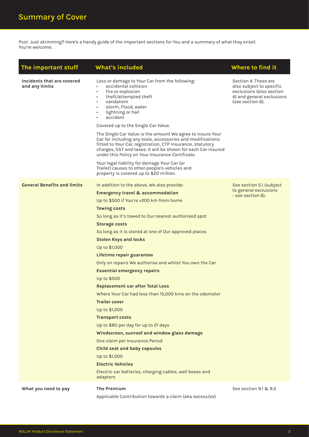Psst. Just skimming? Here's a handy guide of the important sections for You and a summary of what they entail. You're welcome.

| The important stuff                          | <b>What's included</b>                                                                                                                                                                                                                                                                                                                                                                                                                                                                                                                                                                                                                                                                                                                                                                                                                                                                                                                                          | Where to find it                                                                                                              |
|----------------------------------------------|-----------------------------------------------------------------------------------------------------------------------------------------------------------------------------------------------------------------------------------------------------------------------------------------------------------------------------------------------------------------------------------------------------------------------------------------------------------------------------------------------------------------------------------------------------------------------------------------------------------------------------------------------------------------------------------------------------------------------------------------------------------------------------------------------------------------------------------------------------------------------------------------------------------------------------------------------------------------|-------------------------------------------------------------------------------------------------------------------------------|
| Incidents that are covered<br>and any limits | Loss or damage to Your Car from the following:<br>accidental collision<br>fire or explosion<br>$\bullet$<br>theft/attempted theft<br>$\bullet$<br>vandalism<br>storm, Flood, water<br>$\bullet$<br>lightning or hail<br>٠<br>accident<br>Covered up to the Single Car Value.<br>The Single Car Value is the amount We agree to insure Your<br>Car for including any tools, accessories and modifications<br>fitted to Your Car, registration, CTP Insurance, statutory<br>charges, GST and taxes. It will be shown for each Car insured<br>under this Policy on Your Insurance Certificate.<br>Your legal liability for damage Your Car (or<br>Trailer) causes to other people's vehicles and<br>property is covered up to \$20 million.                                                                                                                                                                                                                        | Section 4. These are<br>also subject to specific<br>exclusions (also section<br>4) and general exclusions<br>(see section 6). |
| <b>General Benefits and limits</b>           | In addition to the above, We also provide:<br><b>Emergency travel &amp; accommodation</b><br>Up to \$500 if You're ≥200 km from home<br><b>Towing costs</b><br>So long as it's towed to Our nearest authorised spot<br><b>Storage costs</b><br>So long as it is stored at one of Our approved places<br><b>Stolen Keys and locks</b><br>Up to \$1,000<br>Lifetime repair guarantee<br>Only on repairs We authorise and whilst You own the Car<br><b>Essential emergency repairs</b><br>Up to \$500<br><b>Replacement car after Total Loss</b><br>Where Your Car had less than 15,000 kms on the odometer<br><b>Trailer cover</b><br>Up to \$1,000<br><b>Transport costs</b><br>Up to \$80 per day for up to 21 days<br>Windscreen, sunroof and window glass damage<br>One claim per Insurance Period<br><b>Child seat and baby capsules</b><br>Up to \$1,000<br><b>Electric Vehicles</b><br>Electric car batteries, charging cables, wall boxes and<br>adapters | See section 5.1 (subject<br>to general exclusions<br>- see section 6).                                                        |
| What you need to pay                         | <b>The Premium</b><br>Applicable Contribution towards a claim (aka excess/es)                                                                                                                                                                                                                                                                                                                                                                                                                                                                                                                                                                                                                                                                                                                                                                                                                                                                                   | See section 9.1 & 9.2                                                                                                         |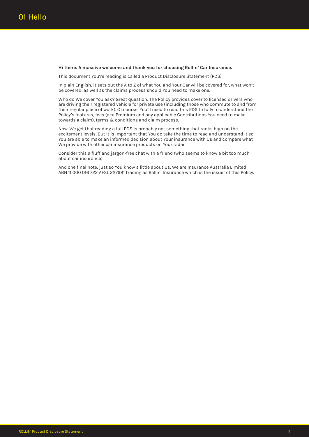#### **Hi there. A massive welcome and thank you for choosing Rollin' Car Insurance.**

This document You're reading is called a Product Disclosure Statement (PDS).

In plain English, it sets out the A to Z of what You and Your Car will be covered for, what won't be covered, as well as the claims process should You need to make one.

Who do We cover You ask? Great question. The Policy provides cover to licensed drivers who are driving their registered vehicle for private use (including those who commute to and from their regular place of work). Of course, You'll need to read this PDS to fully to understand the Policy's features, fees (aka Premium and any applicable Contributions You need to make towards a claim), terms & conditions and claim process.

Now. We get that reading a full PDS is probably not something that ranks high on the excitement levels. But it is important that You do take the time to read and understand it so You are able to make an informed decision about Your insurance with Us and compare what We provide with other car insurance products on Your radar.

Consider this a fluff and jargon-free chat with a friend (who seems to know a bit too much about car insurance).

And one final note, just so You know a little about Us, We are Insurance Australia Limited ABN 11 000 016 722 AFSL 227681 trading as Rollin' Insurance which is the issuer of this Policy.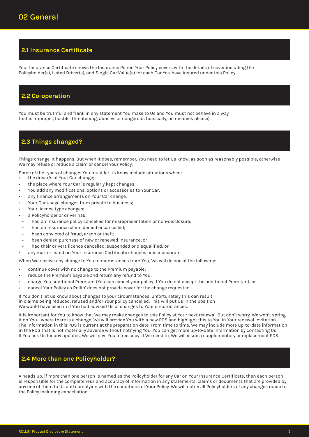# **2.1 Insurance Certificate**

Your Insurance Certificate shows the Insurance Period Your Policy covers with the details of cover including the Policyholder(s), Listed Driver(s), and Single Car Value(s) for each Car You have insured under this Policy.

## **2.2 Co-operation**

You must be truthful and frank in any statement You make to Us and You must not behave in a way that is improper, hostile, threatening, abusive or dangerous (basically, no meanies please).

# **2.3 Things changed?**

Things change. It happens. But when it does, remember, You need to let Us know, as soon as reasonably possible, otherwise We may refuse or reduce a claim or cancel Your Policy.

Some of the types of changes You must let Us know include situations when:

- the driver/s of Your Car change;
- the place where Your Car is regularly kept changes;
- You add any modifications, options or accessories to Your Car;
- any finance arrangements on Your Car change;
- Your Car usage changes from private to business;
- Your licence type changes;
- a Policyholder or driver has:
- had an insurance policy cancelled for misrepresentation or non-disclosure;
- had an insurance claim denied or cancelled;
- been convicted of fraud, arson or theft;
- been denied purchase of new or renewed insurance; or
- had their drivers licence cancelled, suspended or disqualified; or
- any matter listed on Your Insurance Certificate changes or is inaccurate.

When We receive any change to Your circumstances from You, We will do one of the following:

- continue cover with no change to the Premium payable;
- reduce the Premium payable and return any refund to You;
- charge You additional Premium (You can cancel your policy if You do not accept the additional Premium); or
- cancel Your Policy as Rollin' does not provide cover for the change requested.

If You don't let us know about changes to your circumstances, unfortunately this can result in claims being reduced, refused and/or Your policy cancelled. This will put Us in the position We would have been in if You had advised Us of changes to Your circumstances.

It is important for You to know that We may make changes to this Policy at Your next renewal. But don't worry. We won't spring it on You - where there is a change, We will provide You with a new PDS and highlight this to You in Your renewal invitation. The information in this PDS is current at the preparation date. From time to time, We may include more up-to-date information in the PDS that is not materially adverse without notifying You. You can get more up-to-date information by contacting Us. If You ask Us for any updates, We will give You a free copy. If We need to, We will issue a supplementary or replacement PDS.

# **2.4 More than one Policyholder?**

A heads up, if more than one person is named as the Policyholder for any Car on Your Insurance Certificate, then each person is responsible for the completeness and accuracy of information in any statements, claims or documents that are provided by any one of them to Us and complying with the conditions of Your Policy. We will notify all Policyholders of any changes made to the Policy including cancellation.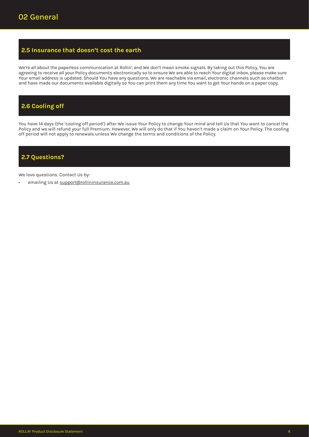# **2.5 Insurance that doesn't cost the earth**

We're all about the paperless communication at Rollin', and We don't mean smoke signals. By taking out this Policy, You are agreeing to receive all your Policy documents electronically so to ensure We are able to reach Your digital inbox, please make sure Your email address is updated. Should You have any questions, We are reachable via email, electronic channels such as chatbot and have made our documents available digitally so You can print them any time You want to get Your hands on a paper copy.

# **2.6 Cooling off**

You have 14 days (the 'cooling off period') after We issue Your Policy to change Your mind and tell Us that You want to cancel the Policy and we will refund your full Premium. However, We will only do that if You haven't made a claim on Your Policy. The cooling off period will not apply to renewals unless We change the terms and conditions of the Policy.

# **2.7 Questions?**

We love questions. Contact Us by:

emailing Us at support@rollininsurance.com.au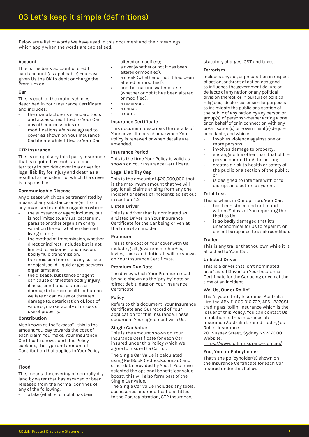Below are a list of words We have used in this document and their meanings which apply when the words are capitalised:

#### **Account**

This is the bank account or credit card account (as applicable) You have given Us the OK to debit or charge the Premium on.

#### **Car**

This is each of the motor vehicles described in Your Insurance Certificate and includes:

- the manufacturer's standard tools and accessories fitted to Your Car;
- any other accessories or modifications We have agreed to cover as shown on Your Insurance Certificate while fitted to Your Car.

#### **CTP Insurance**

This is compulsory third party insurance that is required by each state and territory to provide cover to a driver for legal liability for injury and death as a result of an accident for which the driver is responsible.

#### **Communicable Disease**

Any disease which can be transmitted by means of any substance or agent from any organism to another organism where:

- the substance or agent includes, but is not limited to, a virus, bacterium, parasite or other organism or any variation thereof, whether deemed living or not;
- the method of transmission, whether direct or indirect, includes but is not limited to, airborne transmission, bodily fluid transmission, transmission from or to any surface or object, solid, liquid or gas between organisms; and
- the disease, substance or agent can cause or threaten bodily injury, illness, emotional distress or damage to human health or human welfare or can cause or threaten damage to, deterioration of, loss of value of, marketability of or loss of use of property.

#### **Contribution**

Also known as the "excess" - this is the amount You pay towards the cost of each claim You make. Your Insurance Certificate shows, and this Policy explains, the type and amount of Contribution that applies to Your Policy.

### •

#### **Flood**

This means the covering of normally dry land by water that has escaped or been released from the normal confines of any of the following:

a lake (whether or not it has been

altered or modified);

- a river (whether or not it has been altered or modified);
- a creek (whether or not it has been altered or modified);
- another natural watercourse (whether or not it has been altered or modified);
- a reservoir;
- a canal;
- a dam.

#### **Insurance Certificate**

This document describes the details of Your cover. It does change when Your Policy is renewed or when details are amended.

#### **Insurance Period**

This is the time Your Policy is valid as shown on Your Insurance Certificate.

#### **Legal Liability Cap**

This is the amount of \$20,000,000 that is the maximum amount that We will pay for all claims arising from any one incident or series of incidents as set out in section 4.2

#### **Listed Driver**

This is a driver that is nominated as a 'Listed Driver' on Your Insurance Certificate for the Car being driven at the time of an incident.

#### **Premium**

This is the cost of Your cover with Us including all government charges, levies, taxes and duties. It will be shown on Your Insurance Certificate.

#### **Premium Due Date**

The day by which Your Premium must be paid shown as the 'pay by' date or 'direct debit' date on Your Insurance Certificate.

#### **Policy**

Refers to this document, Your Insurance Certificate and Our record of Your application for this insurance. These document Your agreement with Us.

#### **Single Car Value**

This is the amount shown on Your Insurance Certificate for each Car insured under this Policy which We agree to insure the Car for.

The Single Car Value is calculated using RedBook (redbook.com.au) and other data provided by You. If You have selected the optional benefit 'car value boost', this will also form part of the Single Car Value.

The Single Car Value includes any tools, accessories and modifications fitted to the Car, registration, CTP insurance,

statutory charges, GST and taxes.

#### **Terrorism**

Includes any act, or preparation in respect of action, or threat of action designed to influence the government de jure or de facto of any nation or any political division thereof, or in pursuit of political, religious, ideological or similar purposes to intimidate the public or a section of the public of any nation by any person or group(s) of persons whether acting alone or on behalf of or in connection with any organisation(s) or government(s) de jure or de facto, and which:

- involves violence against one or more persons;
- involves damage to property;
- endangers life other than that of the person committing the action;
- creates a risk to health or safety of the public or a section of the public; or
- is designed to interfere with or to disrupt an electronic system.

#### **Total Loss**

This is when, in Our opinion, Your Car:

- has been stolen and not found within 21 days of You reporting the theft to Us;
- is so badly damaged that it's uneconomical for Us to repair it; or
- cannot be repaired to a safe condition.

#### **Trailer**

This is any trailer that You own while it is attached to Your Car.

#### **Unlisted Driver**

This is a driver that isn't nominated as a 'Listed Driver' on Your Insurance Certificate for the Car being driven at the time of an incident.

#### **We, Us, Our or Rollin'**

That's yours truly Insurance Australia Limited ABN 11 000 016 722, AFSL 227681 trading as Rollin' Insurance which is the issuer of this Policy. You can contact Us in relation to this insurance at: Insurance Australia Limited trading as Rollin' Insurance

201 Sussex Street, Sydney NSW 2000 Website:

https://www.rollininsurance.com.au/

#### **You, Your or Policyholder**

That's the policyholder(s) shown on the Insurance Certificate for each Car insured under this Policy.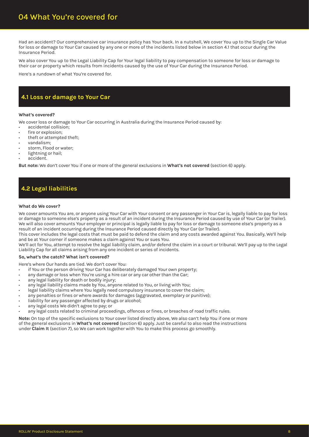Had an accident? Our comprehensive car insurance policy has Your back. In a nutshell, We cover You up to the Single Car Value for loss or damage to Your Car caused by any one or more of the incidents listed below in section 4.1 that occur during the Insurance Period.

We also cover You up to the Legal Liability Cap for Your legal liability to pay compensation to someone for loss or damage to their car or property which results from incidents caused by the use of Your Car during the Insurance Period.

Here's a rundown of what You're covered for.

# **4.1 Loss or damage to Your Car**

#### **What's covered?**

We cover loss or damage to Your Car occurring in Australia during the Insurance Period caused by:

- accidental collision;
- fire or explosion;
- theft or attempted theft;
- vandalism;
- storm, Flood or water;
- lightning or hail;
- accident.

**But note:** We don't cover You if one or more of the general exclusions in **What's not covered** (section 6) apply.

# **4.2 Legal liabilities**

#### **What do We cover?**

We cover amounts You are, or anyone using Your Car with Your consent or any passenger in Your Car is, legally liable to pay for loss or damage to someone else's property as a result of an incident during the Insurance Period caused by use of Your Car (or Trailer). We will also cover amounts Your employer or principal is legally liable to pay for loss or damage to someone else's property as a result of an incident occurring during the Insurance Period caused directly by Your Car (or Trailer).

This cover includes the legal costs that must be paid to defend the claim and any costs awarded against You. Basically, We'll help and be at Your corner if someone makes a claim against You or sues You.

We'll act for You, attempt to resolve the legal liability claim, and/or defend the claim in a court or tribunal. We'll pay up to the Legal Liability Cap for all claims arising from any one incident or series of incidents.

#### **So, what's the catch? What isn't covered?**

Here's where Our hands are tied. We don't cover You:

- if You or the person driving Your Car has deliberately damaged Your own property;
- any damage or loss when You're using a hire car or any car other than the Car;
- any legal liability for death or bodily injury;
- any legal liability claims made by You, anyone related to You, or living with You;
- legal liability claims where You legally need compulsory insurance to cover the claim;
- any penalties or fines or where awards for damages (aggravated, exemplary or punitive);
- liability for any passenger affected by drugs or alcohol;
- any legal costs We didn't agree to pay; or
- any legal costs related to criminal proceedings, offences or fines, or breaches of road traffic rules.

**Note:** On top of the specific exclusions to Your cover listed directly above, We also can't help You if one or more of the general exclusions in **What's not covered** (section 6) apply. Just be careful to also read the instructions under **Claim It** (section 7), so We can work together with You to make this process go smoothly.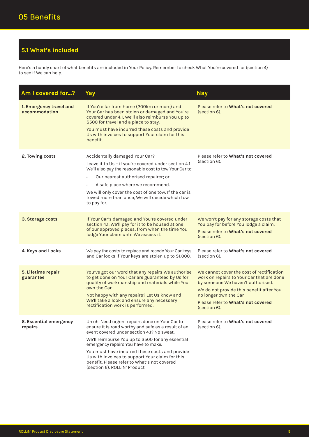# **5.1 What's included**

Here's a handy chart of what benefits are included in Your Policy. Remember to check What You're covered for (section 4) to see if We can help.

| Am I covered for?                        | Yay                                                                                                                                                                                                                                                                                                                                                                                                                                 | <b>Nay</b>                                                                                                                                                                                                                                              |
|------------------------------------------|-------------------------------------------------------------------------------------------------------------------------------------------------------------------------------------------------------------------------------------------------------------------------------------------------------------------------------------------------------------------------------------------------------------------------------------|---------------------------------------------------------------------------------------------------------------------------------------------------------------------------------------------------------------------------------------------------------|
| 1. Emergency travel and<br>accommodation | If You're far from home (200km or more) and<br>Your Car has been stolen or damaged and You're<br>covered under 4.1, We'll also reimburse You up to<br>\$500 for travel and a place to stay.<br>You must have incurred these costs and provide<br>Us with invoices to support Your claim for this<br>benefit.                                                                                                                        | Please refer to What's not covered<br>(section 6).                                                                                                                                                                                                      |
| 2. Towing costs                          | Accidentally damaged Your Car?<br>Leave it to Us - if you're covered under section 4.1<br>We'll also pay the reasonable cost to tow Your Car to:<br>Our nearest authorised repairer; or<br>A safe place where we recommend.<br>We will only cover the cost of one tow. If the car is<br>towed more than once, We will decide which tow<br>to pay for.                                                                               | Please refer to What's not covered<br>(section 6).                                                                                                                                                                                                      |
| 3. Storage costs                         | If Your Car's damaged and You're covered under<br>section 4.1, We'll pay for it to be housed at one<br>of our approved places, from when the time You<br>lodge Your claim until We assess it.                                                                                                                                                                                                                                       | We won't pay for any storage costs that<br>You pay for before You lodge a claim.<br>Please refer to What's not covered<br>(section 6).                                                                                                                  |
| 4. Keys and Locks                        | We pay the costs to replace and recode Your Car keys<br>and Car locks if Your keys are stolen up to \$1,000.                                                                                                                                                                                                                                                                                                                        | Please refer to What's not covered<br>(section 6).                                                                                                                                                                                                      |
| 5. Lifetime repair<br>guarantee          | You've got our word that any repairs We authorise<br>to get done on Your Car are guaranteed by Us for<br>quality of workmanship and materials while You<br>own the Car.<br>Not happy with any repairs? Let Us know and<br>We'll take a look and ensure any necessary<br>rectification work is performed.                                                                                                                            | We cannot cover the cost of rectification<br>work on repairs to Your Car that are done<br>by someone We haven't authorised.<br>We do not provide this benefit after You<br>no longer own the Car.<br>Please refer to What's not covered<br>(section 6). |
| 6. Essential emergency<br>repairs        | Uh oh. Need urgent repairs done on Your Car to<br>ensure it is road worthy and safe as a result of an<br>event covered under section 4.1? No sweat.<br>We'll reimburse You up to \$500 for any essential<br>emergency repairs You have to make.<br>You must have incurred these costs and provide<br>Us with invoices to support Your claim for this<br>benefit. Please refer to What's not covered<br>(section 6). ROLLIN' Product | Please refer to What's not covered<br>(section 6).                                                                                                                                                                                                      |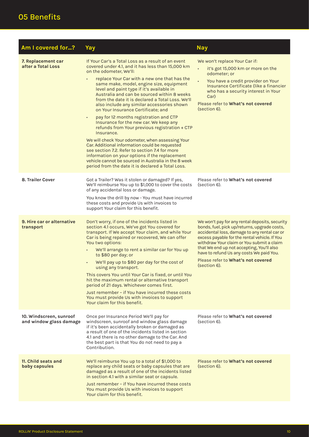# 05 Benefits

| Am I covered for?                                  | Yay                                                                                                                                                                                                                                                                                                                                                                                                                                                                                                                                                                                                                                                                                                                                                                                                                                                                                                                                                       | <b>Nay</b>                                                                                                                                                                                                                                                                                                                                                                                  |
|----------------------------------------------------|-----------------------------------------------------------------------------------------------------------------------------------------------------------------------------------------------------------------------------------------------------------------------------------------------------------------------------------------------------------------------------------------------------------------------------------------------------------------------------------------------------------------------------------------------------------------------------------------------------------------------------------------------------------------------------------------------------------------------------------------------------------------------------------------------------------------------------------------------------------------------------------------------------------------------------------------------------------|---------------------------------------------------------------------------------------------------------------------------------------------------------------------------------------------------------------------------------------------------------------------------------------------------------------------------------------------------------------------------------------------|
| 7. Replacement car<br>after a Total Loss           | If Your Car's a Total Loss as a result of an event<br>covered under 4.1, and it has less than 15,000 km<br>on the odometer, We'll:<br>replace Your Car with a new one that has the<br>same make, model, engine size, equipment<br>level and paint type if it's available in<br>Australia and can be sourced within 8 weeks<br>from the date it is declared a Total Loss. We'll<br>also include any similar accessories shown<br>on Your Insurance Certificate; and<br>pay for 12 months registration and CTP<br>$\bullet$<br>Insurance for the new car. We keep any<br>refunds from Your previous registration + CTP<br>Insurance.<br>We will check Your odometer, when assessing Your<br>Car. Additional information could be requested<br>see section 7.2. Refer to section 7.4 for more<br>information on your options if the replacement<br>vehicle cannot be sourced in Australia in the 8 week<br>period from the date it is declared a Total Loss. | We won't replace Your Car if:<br>it's got 15,000 km or more on the<br>$\bullet$<br>odometer: or<br>You have a credit provider on Your<br>$\bullet$<br>Insurance Certificate (like a financier<br>who has a security interest in Your<br>Car)<br>Please refer to What's not covered<br>(section 6).                                                                                          |
| 8. Trailer Cover                                   | Got a Trailer? Was it stolen or damaged? If yes,<br>We'll reimburse You up to \$1,000 to cover the costs<br>of any accidental loss or damage.<br>You know the drill by now - You must have incurred<br>these costs and provide Us with invoices to<br>support Your claim for this benefit.                                                                                                                                                                                                                                                                                                                                                                                                                                                                                                                                                                                                                                                                | Please refer to What's not covered<br>(section 6).                                                                                                                                                                                                                                                                                                                                          |
| 9. Hire car or alternative<br>transport            | Don't worry, if one of the incidents listed in<br>section 4.1 occurs, We've got You covered for<br>transport. If We accept Your claim, and while Your<br>Car is being repaired or recovered, We can offer<br>You two options:<br>We'll arrange to rent a similar car for You up<br>to \$80 per day; or<br>We'll pay up to \$80 per day for the cost of<br>using any transport.<br>This covers You until Your Car is fixed, or until You<br>hit the maximum rental or alternative transport<br>period of 21 days. Whichever comes first.<br>Just remember - if You have incurred these costs<br>You must provide Us with invoices to support<br>Your claim for this benefit.                                                                                                                                                                                                                                                                               | We won't pay for any rental deposits, security<br>bonds, fuel, pick up/returns, upgrade costs,<br>accidental loss, damage to any rental car or<br>excess payable for the rental vehicle. If You<br>withdraw Your claim or You submit a claim<br>that We end up not accepting, You'll also<br>have to refund Us any costs We paid You.<br>Please refer to What's not covered<br>(section 6). |
| 10. Windscreen, sunroof<br>and window glass damage | Once per Insurance Period We'll pay for<br>windscreen, sunroof and window glass damage<br>if it's been accidentally broken or damaged as<br>a result of one of the incidents listed in section<br>4.1 and there is no other damage to the Car. And<br>the best part is that You do not need to pay a<br>Contribution.                                                                                                                                                                                                                                                                                                                                                                                                                                                                                                                                                                                                                                     | Please refer to What's not covered<br>(section 6).                                                                                                                                                                                                                                                                                                                                          |
| 11. Child seats and<br>baby capsules               | We'll reimburse You up to a total of \$1,000 to<br>replace any child seats or baby capsules that are<br>damaged as a result of one of the incidents listed<br>in section 4.1 with a similar seat or capsule.<br>Just remember - if You have incurred these costs<br>You must provide Us with invoices to support<br>Your claim for this benefit.                                                                                                                                                                                                                                                                                                                                                                                                                                                                                                                                                                                                          | Please refer to What's not covered<br>(section 6).                                                                                                                                                                                                                                                                                                                                          |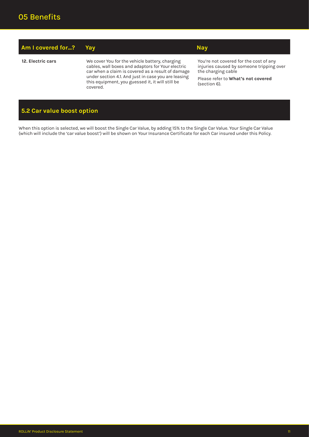| Am I covered for? | Yav                                                                                                                                                                                                                                                                             | <b>Nay</b>                                                                                                                                                     |
|-------------------|---------------------------------------------------------------------------------------------------------------------------------------------------------------------------------------------------------------------------------------------------------------------------------|----------------------------------------------------------------------------------------------------------------------------------------------------------------|
| 12. Electric cars | We cover You for the vehicle battery, charging<br>cables, wall boxes and adaptors for Your electric<br>car when a claim is covered as a result of damage<br>under section 4.1. And just in case you are leasing<br>this equipment, you guessed it, it will still be<br>covered. | You're not covered for the cost of any<br>injuries caused by someone tripping over<br>the charging cable<br>Please refer to What's not covered<br>(section 6). |

# **5.2 Car value boost option**

When this option is selected, we will boost the Single Car Value, by adding 15% to the Single Car Value. Your Single Car Value (which will include the 'car value boost') will be shown on Your Insurance Certificate for each Car insured under this Policy.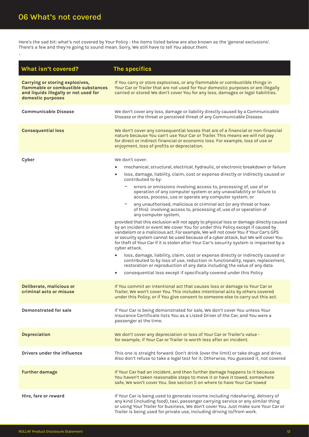Here's the sad bit: what's not covered by Your Policy - the items listed below are also known as the 'general exclusions'. There's a few and they're going to sound mean. Sorry, We still have to tell You about them.

| What isn't covered?                                                                                                                  | The specifics                                                                                                                                                                                                                                                                                                                                                                                                                                                                                                                                                                                                                                                                                                                                                                                                                                                                                                                                                                                                                                                                                                                                                                                                                                                                                                                                                                                                           |
|--------------------------------------------------------------------------------------------------------------------------------------|-------------------------------------------------------------------------------------------------------------------------------------------------------------------------------------------------------------------------------------------------------------------------------------------------------------------------------------------------------------------------------------------------------------------------------------------------------------------------------------------------------------------------------------------------------------------------------------------------------------------------------------------------------------------------------------------------------------------------------------------------------------------------------------------------------------------------------------------------------------------------------------------------------------------------------------------------------------------------------------------------------------------------------------------------------------------------------------------------------------------------------------------------------------------------------------------------------------------------------------------------------------------------------------------------------------------------------------------------------------------------------------------------------------------------|
| Carrying or storing explosives,<br>flammable or combustible substances<br>and liquids illegally or not used for<br>domestic purposes | If You carry or store explosives, or any flammable or combustible things in<br>Your Car or Trailer that are not used for Your domestic purposes or are illegally<br>carried or stored We don't cover You for any loss, damages or legal liabilities.                                                                                                                                                                                                                                                                                                                                                                                                                                                                                                                                                                                                                                                                                                                                                                                                                                                                                                                                                                                                                                                                                                                                                                    |
| <b>Communicable Disease</b>                                                                                                          | We don't cover any loss, damage or liability directly caused by a Communicable<br>Disease or the threat or perceived threat of any Communicable Disease.                                                                                                                                                                                                                                                                                                                                                                                                                                                                                                                                                                                                                                                                                                                                                                                                                                                                                                                                                                                                                                                                                                                                                                                                                                                                |
| <b>Consequential loss</b>                                                                                                            | We don't cover any consequential losses that are of a financial or non-financial<br>nature because You can't use Your Car or Trailer. This means we will not pay<br>for direct or indirect financial or economic loss. For example, loss of use or<br>enjoyment, loss of profits or depreciation.                                                                                                                                                                                                                                                                                                                                                                                                                                                                                                                                                                                                                                                                                                                                                                                                                                                                                                                                                                                                                                                                                                                       |
| Cyber                                                                                                                                | We don't cover:<br>mechanical, structural, electrical, hydraulic, or electronic breakdown or failure<br>loss, damage, liability, claim, cost or expense directly or indirectly caused or<br>$\bullet$<br>contributed to by:<br>errors or omissions involving access to, processing of, use of or<br>-<br>operation of any computer system or any unavailability or failure to<br>access, process, use or operate any computer system; or<br>any unauthorised, malicious or criminal act (or any threat or hoax<br>of this) involving access to, processing of, use of or operation of<br>any computer system,<br>provided that this exclusion will not apply to physical loss or damage directly caused<br>by an incident or event We cover You for under this Policy except if caused by<br>vandalism or a malicious act. For example, We will not cover You if Your Car's GPS<br>or security system cannot be used because of a cyber attack, but We will cover You<br>for theft of Your Car if it is stolen after Your Car's security system is impacted by a<br>cyber attack.<br>loss, damage, liability, claim, cost or expense directly or indirectly caused or<br>$\bullet$<br>contributed to by loss of use, reduction in functionality, repair, replacement,<br>restoration or reproduction of any data including the value of any data<br>consequential loss except if specifically covered under this Policy |
| Deliberate, malicious or<br>criminal acts or misuse                                                                                  | If You commit an intentional act that causes loss or damage to Your Car or<br>Trailer, We won't cover You. This includes intentional acts by others covered<br>under this Policy, or if You give consent to someone else to carry out this act.                                                                                                                                                                                                                                                                                                                                                                                                                                                                                                                                                                                                                                                                                                                                                                                                                                                                                                                                                                                                                                                                                                                                                                         |
| <b>Demonstrated for sale</b>                                                                                                         | If Your Car is being demonstrated for sale, We don't cover You unless Your<br>Insurance Certificate lists You as a Listed Driver of the Car, and You were a<br>passenger at the time.                                                                                                                                                                                                                                                                                                                                                                                                                                                                                                                                                                                                                                                                                                                                                                                                                                                                                                                                                                                                                                                                                                                                                                                                                                   |
| <b>Depreciation</b>                                                                                                                  | We don't cover any depreciation or loss of Your Car or Trailer's value -<br>for example, if Your Car or Trailer is worth less after an incident.                                                                                                                                                                                                                                                                                                                                                                                                                                                                                                                                                                                                                                                                                                                                                                                                                                                                                                                                                                                                                                                                                                                                                                                                                                                                        |
| Drivers under the influence                                                                                                          | This one is straight forward. Don't drink (over the limit) or take drugs and drive.<br>Also don't refuse to take a legal test for it. Otherwise, You guessed it, not covered                                                                                                                                                                                                                                                                                                                                                                                                                                                                                                                                                                                                                                                                                                                                                                                                                                                                                                                                                                                                                                                                                                                                                                                                                                            |
| <b>Further damage</b>                                                                                                                | If Your Car had an incident, and then further damage happens to it because<br>You haven't taken reasonable steps to move it or have it towed, somewhere<br>safe, We won't cover You. See section 5 on where to have Your Car towed                                                                                                                                                                                                                                                                                                                                                                                                                                                                                                                                                                                                                                                                                                                                                                                                                                                                                                                                                                                                                                                                                                                                                                                      |
| Hire, fare or reward                                                                                                                 | If Your Car is being used to generate income including ridesharing, delivery of<br>any kind (including food), taxi, passenger carrying service or any similar thing<br>or using Your Trailer for business, We don't cover You. Just make sure Your Car or<br>Trailer is being used for private use, including driving to/from work.                                                                                                                                                                                                                                                                                                                                                                                                                                                                                                                                                                                                                                                                                                                                                                                                                                                                                                                                                                                                                                                                                     |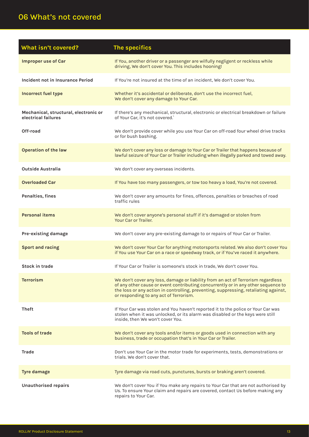# 06 What's not covered

| What isn't covered?                                          | The specifics                                                                                                                                                                                                                                                                                           |
|--------------------------------------------------------------|---------------------------------------------------------------------------------------------------------------------------------------------------------------------------------------------------------------------------------------------------------------------------------------------------------|
| <b>Improper use of Car</b>                                   | If You, another driver or a passenger are wilfully negligent or reckless while<br>driving, We don't cover You. This includes hooning!                                                                                                                                                                   |
| Incident not in Insurance Period                             | If You're not insured at the time of an incident, We don't cover You.                                                                                                                                                                                                                                   |
| <b>Incorrect fuel type</b>                                   | Whether it's accidental or deliberate, don't use the incorrect fuel,<br>We don't cover any damage to Your Car.                                                                                                                                                                                          |
| Mechanical, structural, electronic or<br>electrical failures | If there's any mechanical, structural, electronic or electrical breakdown or failure<br>of Your Car. it's not covered.                                                                                                                                                                                  |
| Off-road                                                     | We don't provide cover while you use Your Car on off-road four wheel drive tracks<br>or for bush bashing.                                                                                                                                                                                               |
| <b>Operation of the law</b>                                  | We don't cover any loss or damage to Your Car or Trailer that happens because of<br>lawful seizure of Your Car or Trailer including when illegally parked and towed away.                                                                                                                               |
| <b>Outside Australia</b>                                     | We don't cover any overseas incidents.                                                                                                                                                                                                                                                                  |
| <b>Overloaded Car</b>                                        | If You have too many passengers, or tow too heavy a load, You're not covered.                                                                                                                                                                                                                           |
| Penalties, fines                                             | We don't cover any amounts for fines, offences, penalties or breaches of road<br>traffic rules                                                                                                                                                                                                          |
| <b>Personal items</b>                                        | We don't cover anyone's personal stuff if it's damaged or stolen from<br>Your Car or Trailer.                                                                                                                                                                                                           |
| Pre-existing damage                                          | We don't cover any pre-existing damage to or repairs of Your Car or Trailer.                                                                                                                                                                                                                            |
| <b>Sport and racing</b>                                      | We don't cover Your Car for anything motorsports related. We also don't cover You<br>if You use Your Car on a race or speedway track, or if You've raced it anywhere.                                                                                                                                   |
| <b>Stock in trade</b>                                        | If Your Car or Trailer is someone's stock in trade, We don't cover You.                                                                                                                                                                                                                                 |
| <b>Terrorism</b>                                             | We don't cover any loss, damage or liability from an act of Terrorism regardless<br>of any other cause or event contributing concurrently or in any other sequence to<br>the loss or any action in controlling, preventing, suppressing, retaliating against,<br>or responding to any act of Terrorism. |
| <b>Theft</b>                                                 | If Your Car was stolen and You haven't reported it to the police or Your Car was<br>stolen when it was unlocked, or its alarm was disabled or the keys were still<br>inside, then We won't cover You.                                                                                                   |
| <b>Tools of trade</b>                                        | We don't cover any tools and/or items or goods used in connection with any<br>business, trade or occupation that's in Your Car or Trailer.                                                                                                                                                              |
| <b>Trade</b>                                                 | Don't use Your Car in the motor trade for experiments, tests, demonstrations or<br>trials. We don't cover that.                                                                                                                                                                                         |
| <b>Tyre damage</b>                                           | Tyre damage via road cuts, punctures, bursts or braking aren't covered.                                                                                                                                                                                                                                 |
| Unauthorised repairs                                         | We don't cover You if You make any repairs to Your Car that are not authorised by<br>Us. To ensure Your claim and repairs are covered, contact Us before making any<br>repairs to Your Car.                                                                                                             |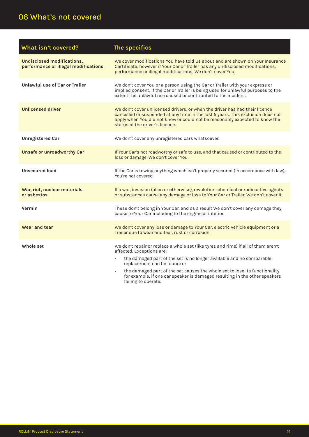# 06 What's not covered

| What isn't covered?                                                | The specifics                                                                                                                                                                                                                                                                    |
|--------------------------------------------------------------------|----------------------------------------------------------------------------------------------------------------------------------------------------------------------------------------------------------------------------------------------------------------------------------|
| Undisclosed modifications,<br>performance or illegal modifications | We cover modifications You have told Us about and are shown on Your Insurance<br>Certificate, however if Your Car or Trailer has any undisclosed modifications,<br>performance or illegal modifications, We don't cover You.                                                     |
| Unlawful use of Car or Trailer                                     | We don't cover You or a person using the Car or Trailer with your express or<br>implied consent, if the Car or Trailer is being used for unlawful purposes to the<br>extent the unlawful use caused or contributed to the incident.                                              |
| <b>Unlicensed driver</b>                                           | We don't cover unlicensed drivers, or when the driver has had their licence<br>cancelled or suspended at any time in the last 5 years. This exclusion does not<br>apply when You did not know or could not be reasonably expected to know the<br>status of the driver's licence. |
| <b>Unregistered Car</b>                                            | We don't cover any unregistered cars whatsoever.                                                                                                                                                                                                                                 |
| <b>Unsafe or unroadworthy Car</b>                                  | If Your Car's not roadworthy or safe to use, and that caused or contributed to the<br>loss or damage, We don't cover You.                                                                                                                                                        |
| <b>Unsecured load</b>                                              | If the Car is towing anything which isn't properly secured (in accordance with law),<br>You're not covered.                                                                                                                                                                      |
| War, riot, nuclear materials<br>or asbestos                        | If a war, invasion (alien or otherwise), revolution, chemical or radioactive agents<br>or substances cause any damage or loss to Your Car or Trailer, We don't cover it.                                                                                                         |
| Vermin                                                             | These don't belong in Your Car, and as a result We don't cover any damage they<br>cause to Your Car including to the engine or interior.                                                                                                                                         |
| Wear and tear                                                      | We don't cover any loss or damage to Your Car, electric vehicle equipment or a<br>Trailer due to wear and tear, rust or corrosion.                                                                                                                                               |
| Whole set                                                          | We don't repair or replace a whole set (like tyres and rims) if all of them aren't<br>affected. Exceptions are:                                                                                                                                                                  |
|                                                                    | the damaged part of the set is no longer available and no comparable<br>replacement can be found: or                                                                                                                                                                             |
|                                                                    | the damaged part of the set causes the whole set to lose its functionality<br>for example, if one car speaker is damaged resulting in the other speakers<br>failing to operate.                                                                                                  |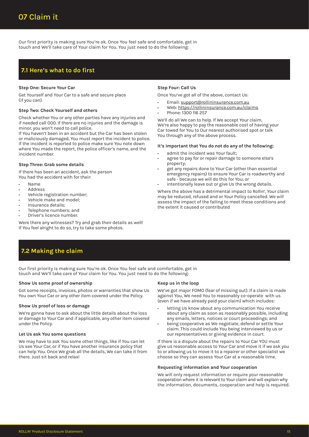Our first priority is making sure You're ok. Once You feel safe and comfortable, get in touch and We'll take care of Your claim for You. You just need to do the following:

# **7.1 Here's what to do first**

#### **Step One: Secure Your Car**

Get Yourself and Your Car to a safe and secure place (if you can).

#### **Step Two: Check Yourself and others**

Check whether You or any other parties have any injuries and if needed call 000. If there are no injuries and the damage is minor, you won't need to call police.

If You haven't been in an accident but the Car has been stolen or maliciously damaged, You must report the incident to police. If the incident is reported to police make sure You note down where You made the report, the police officer's name, and the incident number.

#### **Step Three: Grab some details**

If there has been an accident, ask the person You had the accident with for their:

- Name
- **Address**
- Vehicle registration number;
- Vehicle make and model;
- Insurance details;
- Telephone numbers; and
- Driver's licence number.

Were there any witnesses? Try and grab their details as well! If You feel alright to do so, try to take some photos.

#### **Step Four: Call Us**

Once You've got all of the above, contact Us:

- Email: support@rollininsurance.com.au
- Web: https://rollininsurance.com.au/claims
- Phone: 1300 116 257

We'll do all We can to help. If We accept Your claim, We're also happy to pay the reasonable cost of having your Car towed for You to Our nearest authorised spot or talk You through any of the above process.

#### **It's important that You do not do any of the following:**

- admit the incident was Your fault;
- agree to pay for or repair damage to someone else's property;
- get any repairs done to Your Car (other than essential emergency repairs) to ensure Your Car is roadworthy and safe - because we will do this for You; or
- intentionally leave out or give Us the wrong details.

Where the above has a detrimental impact to Rollin', Your claim may be reduced, refused and or Your Policy cancelled. We will assess the impact of the failing to meet these conditions and the extent it caused or contributed

# **7.2 Making the claim**

Our first priority is making sure You're ok. Once You feel safe and comfortable, get in touch and We'll take care of Your claim for You. You just need to do the following:

#### **Show Us some proof of ownership**

Got some receipts, invoices, photos or warranties that show Us You own Your Car or any other item covered under the Policy.

#### **Show Us proof of loss or damage**

We're gonna have to ask about the little details about the loss or damage to Your Car and if applicable, any other item covered under the Policy.

#### **Let Us ask You some questions**

We may have to ask You some other things, like if You can let Us see Your Car, or if You have another insurance policy that can help You. Once We grab all the details, We can take it from there. Just sit back and relax!

#### **Keep us in the loop**

We've got major FOMO (fear of missing out). If a claim is made against You, We need You to reasonably co-operate with us (even if we have already paid your claim) which includes:

- letting Us know about any communication You receive about any claim as soon as reasonably possible, including any emails, letters, notices or court proceedings; and
- being cooperative as We negotiate, defend or settle Your claim. This could include You being interviewed by us or our representatives or giving evidence in court.

If there is a dispute about the repairs to Your Car YOU must give us reasonable access to Your Car and move it if we ask you to or allowing us to move it to a repairer or other specialist we choose so they can assess Your Car at a reasonable time.

#### **Requesting information and Your cooperation**

We will only request information or require your reasonable cooperation where it is relevant to Your claim and will explain why the information, documents, cooperation and help is required.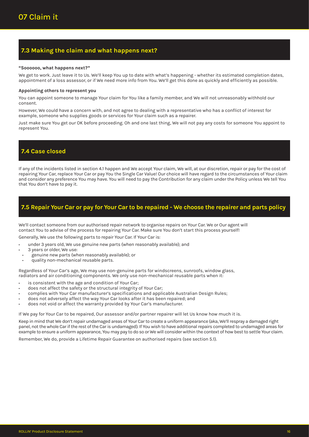# **7.3 Making the claim and what happens next?**

#### **"Soooooo, what happens next?"**

We get to work. Just leave it to Us. We'll keep You up to date with what's happening - whether its estimated completion dates, appointment of a loss assessor, or if We need more info from You. We'll get this done as quickly and efficiently as possible.

#### **Appointing others to represent you**

You can appoint someone to manage Your claim for You like a family member, and We will not unreasonably withhold our consent.

However, We could have a concern with, and not agree to dealing with a representative who has a conflict of interest for example, someone who supplies goods or services for Your claim such as a repairer.

Just make sure You get our OK before proceeding. Oh and one last thing, We will not pay any costs for someone You appoint to represent You.

# **7.4 Case closed**

If any of the incidents listed in section 4.1 happen and We accept Your claim, We will, at our discretion, repair or pay for the cost of repairing Your Car, replace Your Car or pay You the Single Car Value! Our choice will have regard to the circumstances of Your claim and consider any preference You may have. You will need to pay the Contribution for any claim under the Policy unless We tell You that You don't have to pay it.

# **7.5 Repair Your Car or pay for Your Car to be repaired - We choose the repairer and parts policy**

We'll contact someone from our authorised repair network to organise repairs on Your Car. We or Our agent will contact You to advise of the process for repairing Your Car. Make sure You don't start this process yourself!

Generally, We use the following parts to repair Your Car. If Your Car is:

- under 3 years old, We use genuine new parts (when reasonably available); and
- 3 years or older, We use:
- genuine new parts (when reasonably available); or
- quality non-mechanical reusable parts.

Regardless of Your Car's age, We may use non-genuine parts for windscreens, sunroofs, window glass, radiators and air conditioning components. We only use non-mechanical reusable parts when it:

- is consistent with the age and condition of Your Car;
- does not affect the safety or the structural integrity of Your Car;
- complies with Your Car manufacturer's specifications and applicable Australian Design Rules;
- does not adversely affect the way Your Car looks after it has been repaired; and
- does not void or affect the warranty provided by Your Car's manufacturer.

If We pay for Your Car to be repaired, Our assessor and/or partner repairer will let Us know how much it is.

Keep in mind that We don't repair undamaged areas of Your Car to create a uniform appearance (aka, We'll respray a damaged right panel, not the whole Car if the rest of the Car is undamaged). If You wish to have additional repairs completed to undamaged areas for example to ensure a uniform appearance, You may pay to do so or We will consider within the context of how best to settle Your claim. Remember, We do, provide a Lifetime Repair Guarantee on authorised repairs (see section 5.1).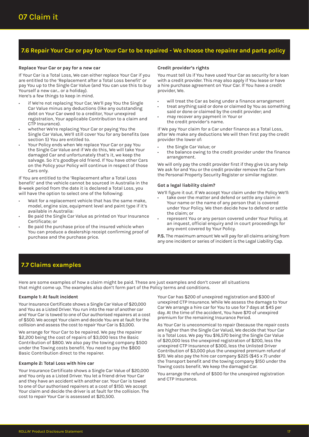# **7.6 Repair Your Car or pay for Your Car to be repaired - We choose the repairer and parts policy**

#### **Replace Your Car or pay for a new car**

If Your Car is a Total Loss, We can either replace Your Car if you are entitled to the 'Replacement after a Total Loss benefit' or pay You up to the Single Car Value (and You can use this to buy Yourself a new car… or a holiday).

Here's a few things to keep in mind.

- if We're not replacing Your Car, We'll pay You the Single Car Value minus any deductions (like any outstanding debt on Your Car owed to a creditor, Your unexpired registration, Your applicable Contribution to a claim and CTP Insurance).
- whether We're replacing Your Car or paying You the Single Car Value, We'll still cover You for any benefits (see section 5) You are entitled to.
- Your Policy ends when We replace Your Car or pay You the Single Car Value and if We do this, We will take Your damaged Car and unfortunately that's it, we keep the salvage. So it's goodbye old friend. If You have other Cars on the Policy your Policy will continue in respect of those Cars only.

If You are entitled to the 'Replacement after a Total Loss benefit' and the vehicle cannot be sourced in Australia in the 8-week period from the date it is declared a Total Loss, you will have the option to select one of the following:

- Wait for a replacement vehicle that has the same make, model, engine size, equipment level and paint type if it's available in Australia:
- Be paid the Single Car Value as printed on Your Insurance Certificate; or
- Be paid the purchase price of the insured vehicle when You can produce a dealership receipt confirming proof of purchase and the purchase price.

#### **Credit provider's rights**

You must tell Us if You have used Your Car as security for a loan with a credit provider. This may also apply if You lease or have a hire purchase agreement on Your Car. If You have a credit provider, We.

- will treat the Car as being under a finance arrangement • treat anything said or done or claimed by You as something
- said or done or claimed by the credit provider; and • may recover any payment in Your or
- the credit provider's name.

If We pay Your claim for a Car under finance as a Total Loss, after We make any deductions We will then first pay the credit provider the lower of:

- the Single Car Value; or
- the balance owing to the credit provider under the finance arrangement.

We will only pay the credit provider first if they give Us any help We ask for and You or the credit provider remove the Car from the Personal Property Security Register or similar register.

#### **Got a legal liability claim?**

We'll figure it out. If We accept Your claim under the Policy We'll:

- take over the matter and defend or settle any claim in Your name or the name of any person that is covered under Your Policy. We then decide how to defend or settle the claim; or
- represent You or any person covered under Your Policy, at an inquest, official enquiry and in court proceedings for any event covered by Your Policy.

**P.S.** The maximum amount We will pay for all claims arising from any one incident or series of incident is the Legal Liability Cap.

# **7.7 Claims examples**

Here are some examples of how a claim might be paid. These are just examples and don't cover all situations that might come up. The examples also don't form part of the Policy terms and conditions.

#### **Example 1: At fault incident**

Your Insurance Certificate shows a Single Car Value of \$20,000 and You as a Listed Driver. You run into the rear of another car and Your Car is towed to one of Our authorised repairers at a cost of \$500. We accept Your claim and decide You are at fault for the collision and assess the cost to repair Your Car is \$3,000.

We arrange for Your Car to be repaired. We pay the repairer \$2,200 being the cost of repairs of \$3,000 less the Basic Contribution of \$800. We also pay the towing company \$500 under the Towing costs benefit. You need to pay the \$800 Basic Contribution direct to the repairer.

#### **Example 2: Total Loss with hire car**

Your Insurance Certificate shows a Single Car Value of \$20,000 and You only as a Listed Driver. You let a friend drive Your Car and they have an accident with another car. Your Car is towed to one of Our authorised repairers at a cost of \$150. We accept Your claim and decide the driver is at fault for the collision. The cost to repair Your Car is assessed at \$20,500.

Your Car has \$200 of unexpired registration and \$300 of unexpired CTP Insurance. While We assess the damage to Your Car We arrange a hire car for You to use for 7 days at \$45 per day. At the time of the accident, You have \$70 of unexpired premium for the remaining Insurance Period.

As Your Car is uneconomical to repair (because the repair costs are higher than the Single Car Value), We decide that Your Car is a Total Loss. We pay You \$16,570 being the Single Car Value of \$20,000 less the unexpired registration of \$200, less the unexpired CTP Insurance of \$300, less the Unlisted Driver Contribution of \$3,000 plus the unexpired premium refund of \$70. We also pay the hire car company \$225 (\$45 x 7) under the Transport benefit and the towing company \$150 under the Towing costs benefit. We keep the damaged Car.

You arrange the refund of \$500 for the unexpired registration and CTP Insurance.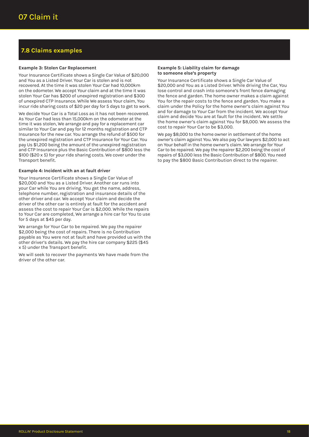# **7.8 Claims examples**

#### **Example 3: Stolen Car Replacement**

Your Insurance Certificate shows a Single Car Value of \$20,000 and You as a Listed Driver. Your Car is stolen and is not recovered. At the time it was stolen Your Car had 10,000km on the odometer. We accept Your claim and at the time it was stolen Your Car has \$200 of unexpired registration and \$300 of unexpired CTP Insurance. While We assess Your claim, You incur ride sharing costs of \$20 per day for 5 days to get to work.

We decide Your Car is a Total Loss as it has not been recovered. As Your Car had less than 15,000km on the odometer at the time it was stolen, We arrange and pay for a replacement car similar to Your Car and pay for 12 months registration and CTP Insurance for the new car. You arrange the refund of \$500 for the unexpired registration and CTP Insurance for Your Car. You pay Us \$1,200 being the amount of the unexpired registration and CTP Insurance plus the Basic Contribution of \$800 less the \$100 (\$20 x 5) for your ride sharing costs. We cover under the Transport benefit.

#### **Example 4: Incident with an at fault driver**

Your Insurance Certificate shows a Single Car Value of \$20,000 and You as a Listed Driver. Another car runs into your Car while You are driving. You get the name, address, telephone number, registration and insurance details of the other driver and car. We accept Your claim and decide the driver of the other car is entirely at fault for the accident and assess the cost to repair Your Car is \$2,000. While the repairs to Your Car are completed, We arrange a hire car for You to use for 5 days at \$45 per day.

We arrange for Your Car to be repaired. We pay the repairer \$2,000 being the cost of repairs. There is no Contribution payable as You were not at fault and have provided us with the other driver's details. We pay the hire car company \$225 (\$45 x 5) under the Transport benefit.

We will seek to recover the payments We have made from the driver of the other car.

#### **Example 5: Liability claim for damage to someone else's property**

Your Insurance Certificate shows a Single Car Value of \$20,000 and You as a Listed Driver. While driving the Car, You lose control and crash into someone's front fence damaging the fence and garden. The home owner makes a claim against You for the repair costs to the fence and garden. You make a claim under the Policy for the home owner's claim against You and for damage to Your Car from the incident. We accept Your claim and decide You are at fault for the incident. We settle the home owner's claim against You for \$8,000. We assess the cost to repair Your Car to be \$3,000.

We pay \$8,000 to the home owner in settlement of the home owner's claim against You. We also pay Our lawyers \$2,000 to act on Your behalf in the home owner's claim. We arrange for Your Car to be repaired. We pay the repairer \$2,200 being the cost of repairs of \$3,000 less the Basic Contribution of \$800. You need to pay the \$800 Basic Contribution direct to the repairer.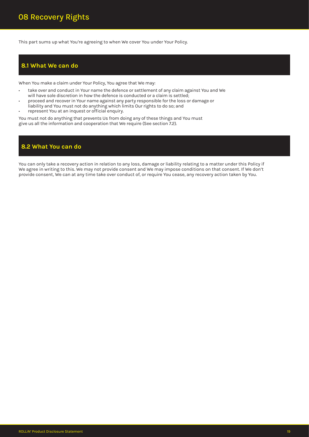This part sums up what You're agreeing to when We cover You under Your Policy.

### **8.1 What We can do**

When You make a claim under Your Policy, You agree that We may:

- take over and conduct in Your name the defence or settlement of any claim against You and We will have sole discretion in how the defence is conducted or a claim is settled;
- proceed and recover in Your name against any party responsible for the loss or damage or
- liability and You must not do anything which limits Our rights to do so; and
- represent You at an inquest or official enquiry.

You must not do anything that prevents Us from doing any of these things and You must give us all the information and cooperation that We require (See section 7.2).

# **8.2 What You can do**

You can only take a recovery action in relation to any loss, damage or liability relating to a matter under this Policy if We agree in writing to this. We may not provide consent and We may impose conditions on that consent. If We don't provide consent, We can at any time take over conduct of, or require You cease, any recovery action taken by You.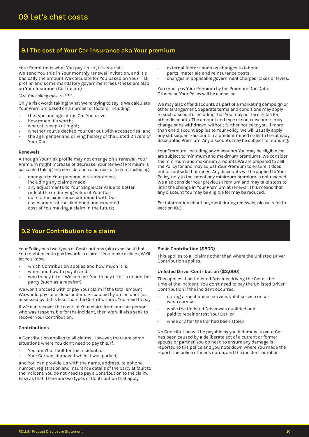# **9.1 The cost of Your Car insurance aka Your premium**

Your Premium is what You pay Us i.e., it's Your bill. We send You this in Your monthly renewal invitation, and it's basically the amount We calculate for You based on Your 'risk profile' and some mandatory government fees (these are also on Your Insurance Certificate).

#### *"Are You calling me a risk?!"*

Only a risk worth taking! What We're trying to say is We calculate Your Premium based on a number of factors, including.

- the type and age of the Car You drive;
- how much it's worth;
- where it sleeps at night;
- whether You've decked Your Car out with accessories; and
- the age, gender and driving history of the Listed Drivers of Your Car.

#### **Renewals**

Although Your risk profile may not change on a renewal, Your Premium might increase or decrease. Your renewal Premium is calculated taking into consideration a number of factors, including:

- changes to Your personal circumstances, including any claims made;
- any adjustments to Your Single Car Value to better reflect the underlying value of Your Car;
- our claims experience combined with Our assessment of the likelihood and expected cost of You making a claim in the future;
- external factors such as changes to labour, parts, materials and reinsurance costs;
- changes in applicable government charges, taxes or levies.

You must pay Your Premium by the Premium Due Date. Otherwise Your Policy will be cancelled.

We may also offer discounts as part of a marketing campaign or other arrangement. Separate terms and conditions may apply to such discounts including that You may not be eligible for other discounts. The amount and type of such discounts may change or be withdrawn, without further notice to you. If more than one discount applies to Your Policy, We will usually apply any subsequent discount in a predetermined order to the already discounted Premium. Any discounts may be subject to rounding.

Your Premium, including any discounts You may be eligible for, are subject to minimum and maximum premiums. We consider the minimum and maximum amounts We are prepared to sell the Policy for and may adjust Your Premium to ensure it does not fall outside that range. Any discounts will be applied to Your Policy, only to the extent any minimum premium is not reached. We also consider Your previous Premium and may take steps to limit the change in Your Premium at renewal. This means that any discount You may be eligible for may be reduced.

For information about payment during renewals, please refer to section 10.3.

## **9.2 Your Contribution to a claim**

Your Policy has two types of Contributions (aka excesses) that You might need to pay towards a claim. If You make a claim, We'll let You know:

- which Contribution applies and how much it is;
- when and how to pay it; and
- who to pay it to We can ask You to pay it to Us or another party (such as a repairer).

We won't proceed with or pay Your claim if the total amount We would pay for all loss or damage caused by an incident (as assessed by Us) is less than the Contribution/s You need to pay.

If We can recover the costs of Your claim from another person who was responsible for the incident, then We will also seek to recover Your Contribution.

#### **Contributions**

A Contribution applies to all claims. However, there are some situations where You don't need to pay this. If:

- You aren't at fault for the incident; or
- Your Car was damaged while it was parked,

and You can provide Us with the name, address, telephone number, registration and insurance details of the party at fault to the incident, You do not need to pay a Contribution to the claim. Easy as that. There are two types of Contribution that apply.

#### **Basic Contribution (\$800)**

This applies to all claims other than where the Unlisted Driver Contribution applies.

#### **Unlisted Driver Contribution (\$3,000)**

This applies if an Unlisted Driver is driving the Car at the time of the incident. You don't need to pay the Unlisted Driver Contribution if the incident occurred:

- during a mechanical service, valet service or car wash service;
- while the Unlisted Driver was qualified and paid to repair or test Your Car; or
- while or after the Car had been stolen.

No Contribution will be payable by you if damage to your Car has been caused by a deliberate act of a current or former spouse or partner. You do need to ensure any damage is reported to the police and you note down where You made the report, the police officer's name, and the incident number.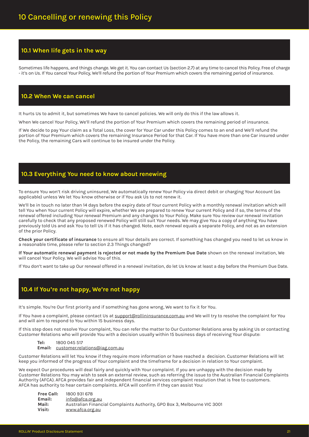# **10.1 When life gets in the way**

Sometimes life happens, and things change. We get it. You can contact Us (section 2.7) at any time to cancel this Policy. Free of charge - it's on Us. If You cancel Your Policy, We'll refund the portion of Your Premium which covers the remaining period of insurance.

# **10.2 When We can cancel**

It hurts Us to admit it, but sometimes We have to cancel policies. We will only do this if the law allows it.

When We cancel Your Policy, We'll refund the portion of Your Premium which covers the remaining period of insurance.

If We decide to pay Your claim as a Total Loss, the cover for Your Car under this Policy comes to an end and We'll refund the portion of Your Premium which covers the remaining Insurance Period for that Car. If You have more than one Car insured under the Policy, the remaining Cars will continue to be insured under the Policy.

# **10.3 Everything You need to know about renewing**

To ensure You won't risk driving uninsured, We automatically renew Your Policy via direct debit or charging Your Account (as applicable) unless We let You know otherwise or if You ask Us to not renew it.

We'll be in touch no later than 14 days before the expiry date of Your current Policy with a monthly renewal invitation which will tell You when Your current Policy will expire, whether We are prepared to renew Your current Policy and if so, the terms of the renewal offered including Your renewal Premium and any changes to Your Policy. Make sure You review our renewal invitation carefully to check that any proposed renewed Policy will still suit Your needs. We may give You a copy of anything You have previously told Us and ask You to tell Us if it has changed. Note, each renewal equals a separate Policy, and not as an extension of the prior Policy.

**Check your certificate of insurance** to ensure all Your details are correct. If something has changed you need to let us know in a reasonable time, please refer to section 2.3 Things changed?

**If Your automatic renewal payment is rejected or not made by the Premium Due Date** shown on the renewal invitation, We will cancel Your Policy. We will advise You of this.

If You don't want to take up Our renewal offered in a renewal invitation, do let Us know at least a day before the Premium Due Date.

# **10.4 If You're not happy, We're not happy**

It's simple. You're Our first priority and if something has gone wrong, We want to fix it for You.

If You have a complaint, please contact Us at support@rollininsurance.com.au and We will try to resolve the complaint for You and will aim to respond to You within 15 business days.

If this step does not resolve Your complaint, You can refer the matter to Our Customer Relations area by asking Us or contacting Customer Relations who will provide You with a decision usually within 15 business days of receiving Your dispute:

**Tel:** 1800 045 517 **Email:** customer.relations@iag.com.au

Customer Relations will let You know if they require more information or have reached a decision. Customer Relations will let keep you informed of the progress of Your complaint and the timeframe for a decision in relation to Your complaint.

We expect Our procedures will deal fairly and quickly with Your complaint. If you are unhappy with the decision made by Customer Relations You may wish to seek an external review, such as referring the issue to the Australian Financial Complaints Authority (AFCA). AFCA provides fair and independent financial services complaint resolution that is free to customers. AFCA has authority to hear certain complaints. AFCA will confirm if they can assist You:

| <b>Free Call:</b> | 1800 931 678                                                             |
|-------------------|--------------------------------------------------------------------------|
| Email:            | info@afca.org.au                                                         |
| Mail:             | Australian Financial Complaints Authority, GPO Box 3, Melbourne VIC 3001 |
| Visit:            | <u>www.afca.org.au</u>                                                   |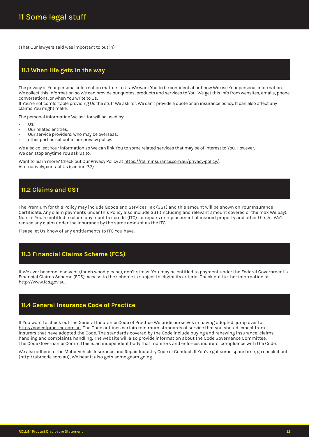(That Our lawyers said was important to put in)

## **11.1 When life gets in the way**

The privacy of Your personal information matters to Us. We want You to be confident about how We use Your personal information. We collect this information so We can provide our quotes, products and services to You. We get this info from websites, emails, phone conversations, or when You write to Us.

If You're not comfortable providing Us the stuff We ask for, We can't provide a quote or an insurance policy. It can also affect any claims You might make.

The personal information We ask for will be used by:

- $\mathsf{He}$
- Our related entities;
- Our service providers, who may be overseas;
- other parties set out in our privacy policy.

We also collect Your information so We can link You to some related services that may be of interest to You. However, We can stop anytime You ask Us to.

Want to learn more? Check out Our Privacy Policy at https://rollininsurance.com.au/privacy-policy/. Alternatively, contact Us (section 2.7)

# **11.2 Claims and GST**

The Premium for this Policy may include Goods and Services Tax (GST) and this amount will be shown on Your Insurance Certificate. Any claim payments under this Policy also include GST (including and relevant amount covered or the max We pay). Note: if You're entitled to claim any input tax credit (ITC) for repairs or replacement of insured property and other things, We'll reduce any claim under the insurance by the same amount as the ITC.

Please let Us know of any entitlements to ITC You have.

## **11.3 Financial Claims Scheme (FCS)**

If We ever become insolvent (touch wood please), don't stress. You may be entitled to payment under the Federal Government's Financial Claims Scheme (FCS). Access to the scheme is subject to eligibility criteria. Check out further information at http://www.fcs.gov.au.

# **11.4 General Insurance Code of Practice**

If You want to check out the General Insurance Code of Practice We pride ourselves in having adopted, jump over to http://codeofpractice.com.au. The Code outlines certain minimum standards of service that you should expect from insurers that have adopted the Code. The standards covered by the Code include buying and renewing insurance, claims handling and complaints handling. The website will also provide information about the Code Governance Committee. The Code Governance Committee is an independent body that monitors and enforces insurers' compliance with the Code.

We also adhere to the Motor Vehicle Insurance and Repair Industry Code of Conduct. If You've got some spare time, go check it out (http://abrcode.com.au), We hear it also gets some gears going.